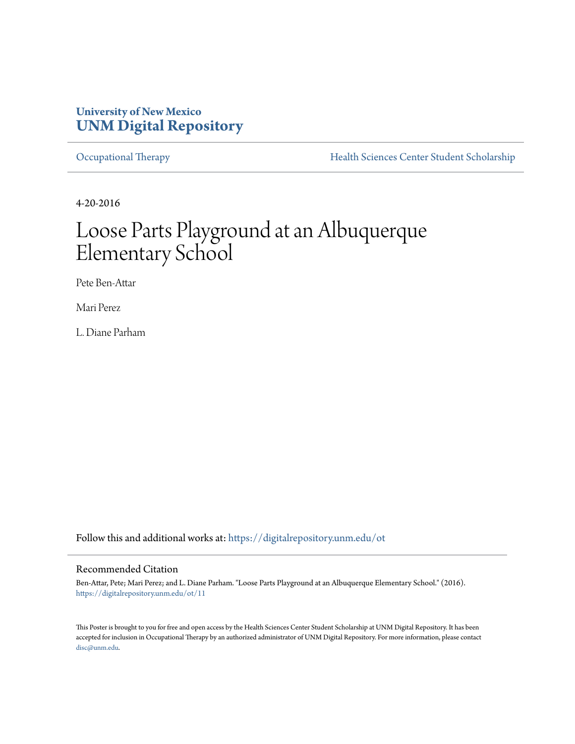#### **University of New Mexico [UNM Digital Repository](https://digitalrepository.unm.edu?utm_source=digitalrepository.unm.edu%2Fot%2F11&utm_medium=PDF&utm_campaign=PDFCoverPages)**

[Occupational Therapy](https://digitalrepository.unm.edu/ot?utm_source=digitalrepository.unm.edu%2Fot%2F11&utm_medium=PDF&utm_campaign=PDFCoverPages) **[Health Sciences Center Student Scholarship](https://digitalrepository.unm.edu/hsc-students?utm_source=digitalrepository.unm.edu%2Fot%2F11&utm_medium=PDF&utm_campaign=PDFCoverPages)** 

4-20-2016

#### Loose Parts Playground at an Albuquerque Elementary School

Pete Ben-Attar

Mari Perez

L. Diane Parham

Follow this and additional works at: [https://digitalrepository.unm.edu/ot](https://digitalrepository.unm.edu/ot?utm_source=digitalrepository.unm.edu%2Fot%2F11&utm_medium=PDF&utm_campaign=PDFCoverPages)

#### Recommended Citation

Ben-Attar, Pete; Mari Perez; and L. Diane Parham. "Loose Parts Playground at an Albuquerque Elementary School." (2016). [https://digitalrepository.unm.edu/ot/11](https://digitalrepository.unm.edu/ot/11?utm_source=digitalrepository.unm.edu%2Fot%2F11&utm_medium=PDF&utm_campaign=PDFCoverPages)

This Poster is brought to you for free and open access by the Health Sciences Center Student Scholarship at UNM Digital Repository. It has been accepted for inclusion in Occupational Therapy by an authorized administrator of UNM Digital Repository. For more information, please contact [disc@unm.edu](mailto:disc@unm.edu).